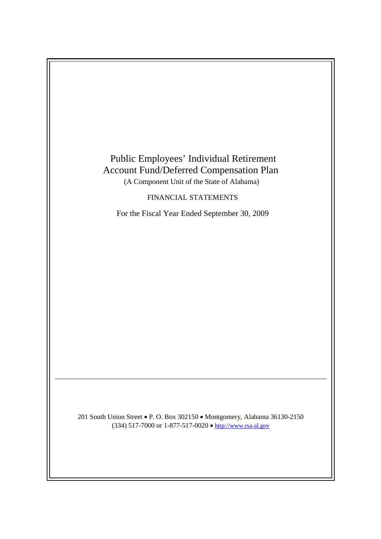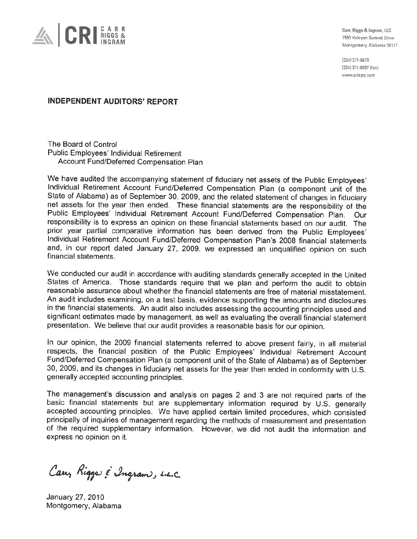

Carr, Riggs & Ingram, LLC 7550 Halcyon Summit Drive Montgomery, Alabama 36117

(334) 271-6678 (334) 271-6697 (fax) www.cricpa.com

**INDEPENDENT AUDITORS' REPORT** 

The Board of Control Public Employees' Individual Retirement Account Fund/Deferred Compensation Plan

We have audited the accompanying statement of fiduciary net assets of the Public Employees' Individual Retirement Account Fund/Deferred Compensation Plan (a component unit of the State of Alabama) as of September 30, 2009, and the related statement of changes in fiduciary net assets for the year then ended. These financial statements are the responsibility of the Public Employees' Individual Retirement Account Fund/Deferred Compensation Plan. Our responsibility is to express an opinion on these financial statements based on our audit. The prior year partial comparative information has been derived from the Public Employees' Individual Retirement Account Fund/Deferred Compensation Plan's 2008 financial statements and, in our report dated January 27, 2009, we expressed an unqualified opinion on such financial statements.

We conducted our audit in accordance with auditing standards generally accepted in the United States of America. Those standards require that we plan and perform the audit to obtain reasonable assurance about whether the financial statements are free of material misstatement. An audit includes examining, on a test basis, evidence supporting the amounts and disclosures in the financial statements. An audit also includes assessing the accounting principles used and significant estimates made by management, as well as evaluating the overall financial statement presentation. We believe that our audit provides a reasonable basis for our opinion.

In our opinion, the 2009 financial statements referred to above present fairly, in all material respects, the financial position of the Public Employees' Individual Retirement Account Fund/Deferred Compensation Plan (a component unit of the State of Alabama) as of September 30, 2009, and its changes in fiduciary net assets for the year then ended in conformity with U.S. generally accepted accounting principles.

The management's discussion and analysis on pages 2 and 3 are not required parts of the basic financial statements but are supplementary information required by U.S. generally accepted accounting principles. We have applied certain limited procedures, which consisted principally of inquiries of management regarding the methods of measurement and presentation of the required supplementary information. However, we did not audit the information and express no opinion on it.

Carry Rigger & Ingram, L.L.C.

January 27, 2010 Montgomery, Alabama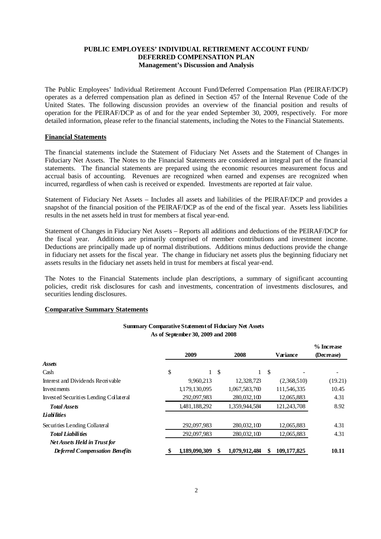# **PUBLIC EMPLOYEES' INDIVIDUAL RETIREMENT ACCOUNT FUND/ DEFERRED COMPENSATION PLAN Management's Discussion and Analysis**

The Public Employees' Individual Retirement Account Fund/Deferred Compensation Plan (PEIRAF/DCP) operates as a deferred compensation plan as defined in Section 457 of the Internal Revenue Code of the United States. The following discussion provides an overview of the financial position and results of operation for the PEIRAF/DCP as of and for the year ended September 30, 2009, respectively. For more detailed information, please refer to the financial statements, including the Notes to the Financial Statements.

### **Financial Statements**

The financial statements include the Statement of Fiduciary Net Assets and the Statement of Changes in Fiduciary Net Assets. The Notes to the Financial Statements are considered an integral part of the financial statements. The financial statements are prepared using the economic resources measurement focus and accrual basis of accounting. Revenues are recognized when earned and expenses are recognized when incurred, regardless of when cash is received or expended. Investments are reported at fair value.

Statement of Fiduciary Net Assets – Includes all assets and liabilities of the PEIRAF/DCP and provides a snapshot of the financial position of the PEIRAF/DCP as of the end of the fiscal year. Assets less liabilities results in the net assets held in trust for members at fiscal year-end.

Statement of Changes in Fiduciary Net Assets – Reports all additions and deductions of the PEIRAF/DCP for the fiscal year. Additions are primarily comprised of member contributions and investment income. Deductions are principally made up of normal distributions. Additions minus deductions provide the change in fiduciary net assets for the fiscal year. The change in fiduciary net assets plus the beginning fiduciary net assets results in the fiduciary net assets held in trust for members at fiscal year-end.

The Notes to the Financial Statements include plan descriptions, a summary of significant accounting policies, credit risk disclosures for cash and investments, concentration of investments disclosures, and securities lending disclosures.

#### **Comparative Summary Statements**

|                                        | 2009          |     | 2008          |    | <b>Variance</b> | % Increase<br>(Decrease) |
|----------------------------------------|---------------|-----|---------------|----|-----------------|--------------------------|
| <b>Assets</b>                          |               |     |               |    |                 |                          |
| Cash                                   | \$            | -\$ |               | -S |                 |                          |
| Interest and Dividends Receivable      | 9,960,213     |     | 12,328,723    |    | (2,368,510)     | (19.21)                  |
| Investments                            | 1,179,130,095 |     | 1,067,583,760 |    | 111,546,335     | 10.45                    |
| Invested Securities Lending Collateral | 292,097,983   |     | 280,032,100   |    | 12,065,883      | 4.31                     |
| <b>Total Assets</b>                    | 1,481,188,292 |     | 1,359,944,584 |    | 121,243,708     | 8.92                     |
| <b>Liabilities</b>                     |               |     |               |    |                 |                          |
| Securities Lending Collateral          | 292,097,983   |     | 280,032,100   |    | 12,065,883      | 4.31                     |
| <b>Total Liabilities</b>               | 292,097,983   |     | 280,032,100   |    | 12,065,883      | 4.31                     |
| <b>Net Assets Held in Trust for</b>    |               |     |               |    |                 |                          |
| <b>Deferred Compensation Benefits</b>  | 1.189.090.309 |     | 1.079.912.484 |    | 109,177,825     | 10.11                    |

#### **Summary Comparative Statement of Fiduciary Net Assets As of September 30, 2009 and 2008**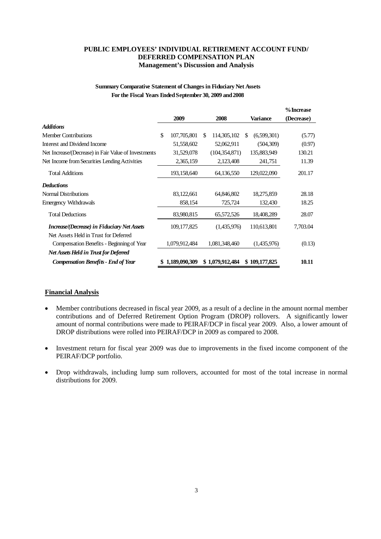# **PUBLIC EMPLOYEES' INDIVIDUAL RETIREMENT ACCOUNT FUND/ DEFERRED COMPENSATION PLAN Management's Discussion and Analysis**

# **Summary Comparative Statement of Changes in Fiduciary Net Assets For the Fiscal Years EndedSeptember 30, 2009 and2008**

|                                                      |                   |   |                 |     |                 | % Increase |
|------------------------------------------------------|-------------------|---|-----------------|-----|-----------------|------------|
|                                                      | 2009              |   | 2008            |     | <b>Variance</b> | (Decrease) |
| Additions                                            |                   |   |                 |     |                 |            |
| <b>Member Contributions</b>                          | \$<br>107,705,801 | S | 114,305,102     | \$. | (6,599,301)     | (5.77)     |
| Interest and Dividend Income                         | 51,558,602        |   | 52,062,911      |     | (504, 309)      | (0.97)     |
| Net Increase/(Decrease) in Fair Value of Investments | 31,529,078        |   | (104, 354, 871) |     | 135,883,949     | 130.21     |
| Net Income from Securities Lending Activities        | 2,365,159         |   | 2,123,408       |     | 241,751         | 11.39      |
| <b>Total Additions</b>                               | 193,158,640       |   | 64,136,550      |     | 129,022,090     | 201.17     |
| Deductions                                           |                   |   |                 |     |                 |            |
| Normal Distributions                                 | 83,122,661        |   | 64,846,802      |     | 18,275,859      | 28.18      |
| <b>Emergency Withdrawals</b>                         | 858,154           |   | 725,724         |     | 132,430         | 18.25      |
| <b>Total Deductions</b>                              | 83,980,815        |   | 65,572,526      |     | 18,408,289      | 28.07      |
| <i>Increase/(Decrease) in Fiduciary Net Assets</i>   | 109, 177, 825     |   | (1,435,976)     |     | 110,613,801     | 7,703.04   |
| Net Assets Held in Trust for Deferred                |                   |   |                 |     |                 |            |
| Compensation Benefits - Beginning of Year            | 1,079,912,484     |   | 1,081,348,460   |     | (1,435,976)     | (0.13)     |
| Net Assets Held in Trust for Deferred                |                   |   |                 |     |                 |            |
| <b>Compensation Benefits - End of Year</b>           | \$1,189,090,309   |   | \$1,079,912,484 |     | \$109,177,825   | 10.11      |

# **Financial Analysis**

- Member contributions decreased in fiscal year 2009, as a result of a decline in the amount normal member contributions and of Deferred Retirement Option Program (DROP) rollovers. A significantly lower amount of normal contributions were made to PEIRAF/DCP in fiscal year 2009. Also, a lower amount of DROP distributions were rolled into PEIRAF/DCP in 2009 as compared to 2008.
- Investment return for fiscal year 2009 was due to improvements in the fixed income component of the PEIRAF/DCP portfolio.
- Drop withdrawals, including lump sum rollovers, accounted for most of the total increase in normal distributions for 2009.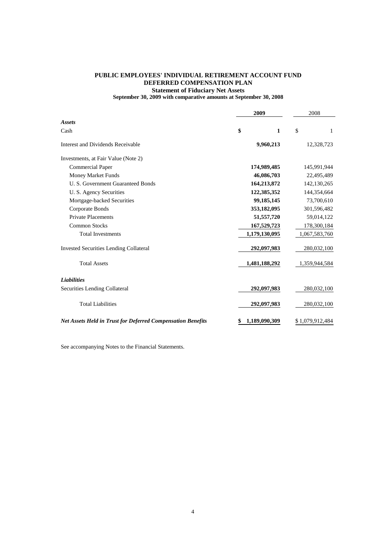# **PUBLIC EMPLOYEES' INDIVIDUAL RETIREMENT ACCOUNT FUND Statement of Fiduciary Net Assets DEFERRED COMPENSATION PLAN**

**September 30, 2009 with comparative amounts at September 30, 2008**

|                                                                    | 2009 | 2008          |    |                 |
|--------------------------------------------------------------------|------|---------------|----|-----------------|
| <b>Assets</b><br>Cash                                              | \$   | 1             | \$ | $\mathbf{1}$    |
|                                                                    |      |               |    |                 |
| Interest and Dividends Receivable                                  |      | 9,960,213     |    | 12,328,723      |
| Investments, at Fair Value (Note 2)                                |      |               |    |                 |
| <b>Commercial Paper</b>                                            |      | 174,989,485   |    | 145,991,944     |
| Money Market Funds                                                 |      | 46,086,703    |    | 22,495,489      |
| U. S. Government Guaranteed Bonds                                  |      | 164,213,872   |    | 142, 130, 265   |
| U. S. Agency Securities                                            |      | 122,385,352   |    | 144,354,664     |
| Mortgage-backed Securities                                         |      | 99,185,145    |    | 73,700,610      |
| Corporate Bonds                                                    |      | 353,182,095   |    | 301,596,482     |
| <b>Private Placements</b>                                          |      | 51, 557, 720  |    | 59,014,122      |
| <b>Common Stocks</b>                                               |      | 167,529,723   |    | 178,300,184     |
| <b>Total Investments</b>                                           |      | 1,179,130,095 |    | 1,067,583,760   |
| <b>Invested Securities Lending Collateral</b>                      |      | 292,097,983   |    | 280,032,100     |
| <b>Total Assets</b>                                                |      | 1,481,188,292 |    | 1,359,944,584   |
| <b>Liabilities</b>                                                 |      |               |    |                 |
| Securities Lending Collateral                                      |      | 292,097,983   |    | 280,032,100     |
| <b>Total Liabilities</b>                                           |      | 292,097,983   |    | 280,032,100     |
| <b>Net Assets Held in Trust for Deferred Compensation Benefits</b> | \$   | 1,189,090,309 |    | \$1,079,912,484 |

See accompanying Notes to the Financial Statements.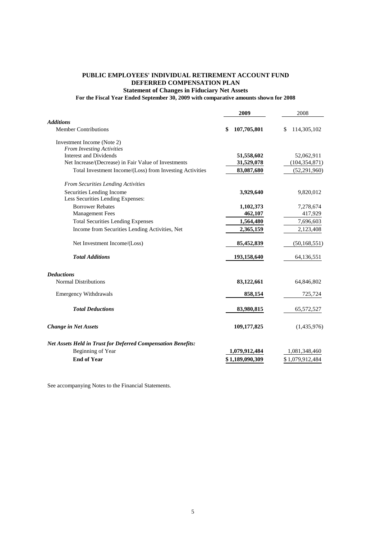## **PUBLIC EMPLOYEES' INDIVIDUAL RETIREMENT ACCOUNT FUND Statement of Changes in Fiduciary Net Assets DEFERRED COMPENSATION PLAN**

**For the Fiscal Year Ended September 30, 2009 with comparative amounts shown for 2008**

|                                                                     | 2009              | 2008              |
|---------------------------------------------------------------------|-------------------|-------------------|
| <b>Additions</b>                                                    |                   |                   |
| <b>Member Contributions</b>                                         | 107,705,801<br>\$ | 114,305,102<br>\$ |
| Investment Income (Note 2)                                          |                   |                   |
| From Investing Activities                                           |                   |                   |
| <b>Interest and Dividends</b>                                       | 51,558,602        | 52,062,911        |
| Net Increase/(Decrease) in Fair Value of Investments                | 31,529,078        | (104, 354, 871)   |
| Total Investment Income/(Loss) from Investing Activities            | 83,087,680        | (52, 291, 960)    |
| <b>From Securities Lending Activities</b>                           |                   |                   |
| Securities Lending Income                                           | 3,929,640         | 9,820,012         |
| Less Securities Lending Expenses:                                   |                   |                   |
| <b>Borrower Rebates</b>                                             | 1,102,373         | 7,278,674         |
| <b>Management Fees</b>                                              | 462,107           | 417,929           |
| <b>Total Securities Lending Expenses</b>                            | 1,564,480         | 7,696,603         |
| Income from Securities Lending Activities, Net                      | 2,365,159         | 2,123,408         |
| Net Investment Income/(Loss)                                        | 85,452,839        | (50, 168, 551)    |
| <b>Total Additions</b>                                              | 193,158,640       | 64,136,551        |
| <b>Deductions</b>                                                   |                   |                   |
| <b>Normal Distributions</b>                                         | 83,122,661        | 64,846,802        |
| <b>Emergency Withdrawals</b>                                        | 858,154           | 725,724           |
| <b>Total Deductions</b>                                             | 83,980,815        | 65,572,527        |
| <b>Change in Net Assets</b>                                         | 109,177,825       | (1,435,976)       |
| <b>Net Assets Held in Trust for Deferred Compensation Benefits:</b> |                   |                   |
| Beginning of Year                                                   | 1,079,912,484     | 1,081,348,460     |
| <b>End of Year</b>                                                  | \$1,189,090,309   | \$1,079,912,484   |
|                                                                     |                   |                   |

See accompanying Notes to the Financial Statements.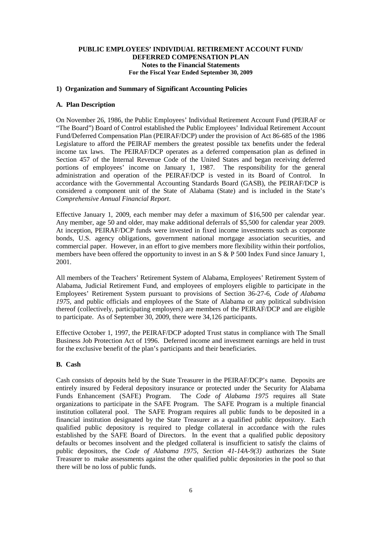## **1) Organization and Summary of Significant Accounting Policies**

## **A. Plan Description**

On November 26, 1986, the Public Employees' Individual Retirement Account Fund (PEIRAF or "The Board") Board of Control established the Public Employees' Individual Retirement Account Fund/Deferred Compensation Plan (PEIRAF/DCP) under the provision of Act 86-685 of the 1986 Legislature to afford the PEIRAF members the greatest possible tax benefits under the federal income tax laws. The PEIRAF/DCP operates as a deferred compensation plan as defined in Section 457 of the Internal Revenue Code of the United States and began receiving deferred portions of employees' income on January 1, 1987. The responsibility for the general administration and operation of the PEIRAF/DCP is vested in its Board of Control. In accordance with the Governmental Accounting Standards Board (GASB), the PEIRAF/DCP is considered a component unit of the State of Alabama (State) and is included in the State's *Comprehensive Annual Financial Report*.

Effective January 1, 2009, each member may defer a maximum of \$16,500 per calendar year. Any member, age 50 and older, may make additional deferrals of \$5,500 for calendar year 2009. At inception, PEIRAF/DCP funds were invested in fixed income investments such as corporate bonds, U.S. agency obligations, government national mortgage association securities, and commercial paper. However, in an effort to give members more flexibility within their portfolios, members have been offered the opportunity to invest in an S & P 500 Index Fund since January 1, 2001.

All members of the Teachers' Retirement System of Alabama, Employees' Retirement System of Alabama, Judicial Retirement Fund, and employees of employers eligible to participate in the Employees' Retirement System pursuant to provisions of Section 36-27-6, *Code of Alabama 1975,* and public officials and employees of the State of Alabama or any political subdivision thereof (collectively, participating employers) are members of the PEIRAF/DCP and are eligible to participate. As of September 30, 2009, there were 34,126 participants.

Effective October 1, 1997, the PEIRAF/DCP adopted Trust status in compliance with The Small Business Job Protection Act of 1996. Deferred income and investment earnings are held in trust for the exclusive benefit of the plan's participants and their beneficiaries.

### **B. Cash**

Cash consists of deposits held by the State Treasurer in the PEIRAF/DCP's name. Deposits are entirely insured by Federal depository insurance or protected under the Security for Alabama Funds Enhancement (SAFE) Program. The *Code of Alabama 1975* requires all State organizations to participate in the SAFE Program. The SAFE Program is a multiple financial institution collateral pool. The SAFE Program requires all public funds to be deposited in a financial institution designated by the State Treasurer as a qualified public depository. Each qualified public depository is required to pledge collateral in accordance with the rules established by the SAFE Board of Directors. In the event that a qualified public depository defaults or becomes insolvent and the pledged collateral is insufficient to satisfy the claims of public depositors, the *Code of Alabama 1975, Section 41-14A-9(3)* authorizes the State Treasurer to make assessments against the other qualified public depositories in the pool so that there will be no loss of public funds.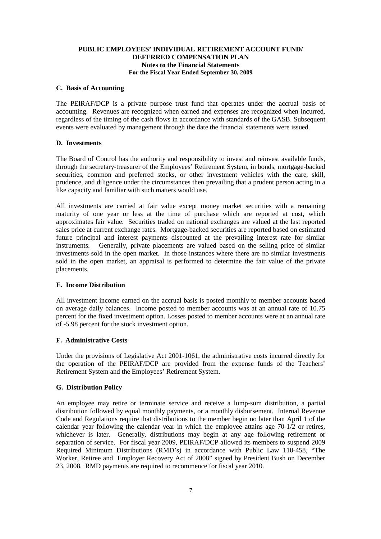### **C. Basis of Accounting**

The PEIRAF/DCP is a private purpose trust fund that operates under the accrual basis of accounting. Revenues are recognized when earned and expenses are recognized when incurred, regardless of the timing of the cash flows in accordance with standards of the GASB. Subsequent events were evaluated by management through the date the financial statements were issued.

#### **D. Investments**

The Board of Control has the authority and responsibility to invest and reinvest available funds, through the secretary-treasurer of the Employees' Retirement System, in bonds, mortgage-backed securities, common and preferred stocks, or other investment vehicles with the care, skill, prudence, and diligence under the circumstances then prevailing that a prudent person acting in a like capacity and familiar with such matters would use.

All investments are carried at fair value except money market securities with a remaining maturity of one year or less at the time of purchase which are reported at cost, which approximates fair value. Securities traded on national exchanges are valued at the last reported sales price at current exchange rates. Mortgage-backed securities are reported based on estimated future principal and interest payments discounted at the prevailing interest rate for similar instruments. Generally, private placements are valued based on the selling price of similar investments sold in the open market. In those instances where there are no similar investments sold in the open market, an appraisal is performed to determine the fair value of the private placements.

### **E. Income Distribution**

All investment income earned on the accrual basis is posted monthly to member accounts based on average daily balances. Income posted to member accounts was at an annual rate of 10.75 percent for the fixed investment option. Losses posted to member accounts were at an annual rate of -5.98 percent for the stock investment option.

### **F. Administrative Costs**

Under the provisions of Legislative Act 2001-1061, the administrative costs incurred directly for the operation of the PEIRAF/DCP are provided from the expense funds of the Teachers' Retirement System and the Employees' Retirement System.

### **G. Distribution Policy**

An employee may retire or terminate service and receive a lump-sum distribution, a partial distribution followed by equal monthly payments, or a monthly disbursement. Internal Revenue Code and Regulations require that distributions to the member begin no later than April 1 of the calendar year following the calendar year in which the employee attains age 70-1/2 or retires, whichever is later. Generally, distributions may begin at any age following retirement or separation of service. For fiscal year 2009, PEIRAF/DCP allowed its members to suspend 2009 Required Minimum Distributions (RMD's) in accordance with Public Law 110-458, "The Worker, Retiree and Employer Recovery Act of 2008" signed by President Bush on December 23, 2008. RMD payments are required to recommence for fiscal year 2010.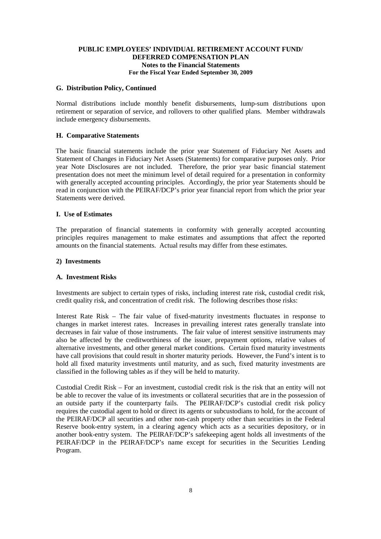### **G. Distribution Policy, Continued**

Normal distributions include monthly benefit disbursements, lump-sum distributions upon retirement or separation of service, and rollovers to other qualified plans. Member withdrawals include emergency disbursements.

### **H. Comparative Statements**

The basic financial statements include the prior year Statement of Fiduciary Net Assets and Statement of Changes in Fiduciary Net Assets (Statements) for comparative purposes only. Prior year Note Disclosures are not included. Therefore, the prior year basic financial statement presentation does not meet the minimum level of detail required for a presentation in conformity with generally accepted accounting principles. Accordingly, the prior year Statements should be read in conjunction with the PEIRAF/DCP's prior year financial report from which the prior year Statements were derived.

### **I. Use of Estimates**

The preparation of financial statements in conformity with generally accepted accounting principles requires management to make estimates and assumptions that affect the reported amounts on the financial statements. Actual results may differ from these estimates.

#### **2) Investments**

### **A. Investment Risks**

Investments are subject to certain types of risks, including interest rate risk, custodial credit risk, credit quality risk, and concentration of credit risk. The following describes those risks:

Interest Rate Risk – The fair value of fixed-maturity investments fluctuates in response to changes in market interest rates. Increases in prevailing interest rates generally translate into decreases in fair value of those instruments. The fair value of interest sensitive instruments may also be affected by the creditworthiness of the issuer, prepayment options, relative values of alternative investments, and other general market conditions. Certain fixed maturity investments have call provisions that could result in shorter maturity periods. However, the Fund's intent is to hold all fixed maturity investments until maturity, and as such, fixed maturity investments are classified in the following tables as if they will be held to maturity.

Custodial Credit Risk – For an investment, custodial credit risk is the risk that an entity will not be able to recover the value of its investments or collateral securities that are in the possession of an outside party if the counterparty fails. The PEIRAF/DCP's custodial credit risk policy requires the custodial agent to hold or direct its agents or subcustodians to hold, for the account of the PEIRAF/DCP all securities and other non-cash property other than securities in the Federal Reserve book-entry system, in a clearing agency which acts as a securities depository, or in another book-entry system. The PEIRAF/DCP's safekeeping agent holds all investments of the PEIRAF/DCP in the PEIRAF/DCP's name except for securities in the Securities Lending Program.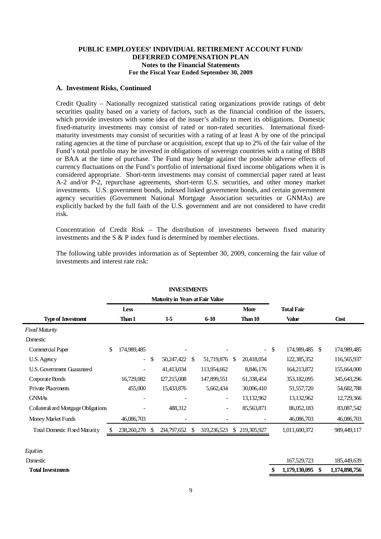### **A. Investment Risks, Continued**

Credit Quality – Nationally recognized statistical rating organizations provide ratings of debt securities quality based on a variety of factors, such as the financial condition of the issuers, which provide investors with some idea of the issuer's ability to meet its obligations. Domestic fixed-maturity investments may consist of rated or non-rated securities. International fixedmaturity investments may consist of securities with a rating of at least A by one of the principal rating agencies at the time of purchase or acquisition, except that up to 2% of the fair value of the Fund's total portfolio may be invested in obligations of sovereign countries with a rating of BBB or BAA at the time of purchase. The Fund may hedge against the possible adverse effects of currency fluctuations on the Fund's portfolio of international fixed income obligations when it is considered appropriate. Short-term investments may consist of commercial paper rated at least A-2 and/or P-2, repurchase agreements, short-term U.S. securities, and other money market investments. U.S. government bonds, indexed linked government bonds, and certain government agency securities (Government National Mortgage Association securities or GNMAs) are explicitly backed by the full faith of the U.S. government and are not considered to have credit risk.

Concentration of Credit Risk – The distribution of investments between fixed maturity investments and the S & P index fund is determined by member elections.

| <b>INVESTMENTS</b>                  |                                        |                          |               |             |     |                          |     |             |               |                   |               |             |
|-------------------------------------|----------------------------------------|--------------------------|---------------|-------------|-----|--------------------------|-----|-------------|---------------|-------------------|---------------|-------------|
|                                     | <b>Maturity in Years at Fair Value</b> |                          |               |             |     |                          |     |             |               |                   |               |             |
|                                     |                                        | <b>Less</b>              |               |             |     |                          |     | <b>More</b> |               | <b>Total Fair</b> |               |             |
| <b>Type of Investment</b>           |                                        | Than 1                   |               | 15          |     | $6 - 10$                 |     | Than 10     |               | <b>Value</b>      |               | Cost        |
| <b>Fixed Maturity</b>               |                                        |                          |               |             |     |                          |     |             |               |                   |               |             |
| Domestic                            |                                        |                          |               |             |     |                          |     |             |               |                   |               |             |
| Commercial Paper                    | \$                                     | 174,989,485              |               |             |     |                          |     | $\sim$      | <sup>\$</sup> | 174,989,485       | <sup>\$</sup> | 174,989,485 |
| U.S. Agency                         |                                        | $\overline{\phantom{a}}$ | $\mathcal{S}$ | 50,247,422  | \$  | 51,719,876               | \$. | 20,418,054  |               | 122,385,352       |               | 116,565,937 |
| U.S. Government Guaranteed          |                                        | $\overline{\phantom{a}}$ |               | 41,413,034  |     | 113,954,662              |     | 8,846,176   |               | 164,213,872       |               | 155,664,000 |
| Corporate Bonds                     |                                        | 16,729,082               |               | 127,215,008 |     | 147,899,551              |     | 61,338,454  |               | 353,182,095       |               | 345,643,296 |
| <b>Private Placements</b>           |                                        | 455,000                  |               | 15,433,876  |     | 5,662,434                |     | 30,006,410  |               | 51, 557, 720      |               | 54,682,788  |
| <b>GNMAs</b>                        |                                        |                          |               |             |     | -                        |     | 13,132,962  |               | 13,132,962        |               | 12,729,366  |
| Collateralized Mortgage Obligations |                                        |                          |               | 488,312     |     | $\overline{\phantom{a}}$ |     | 85,563,871  |               | 86,052,183        |               | 83,087,542  |
| Money Market Funds                  |                                        | 46,086,703               |               |             |     |                          |     |             |               | 46,086,703        |               | 46,086,703  |
| Total Domestic Fixed Maturity       |                                        | 238,260,270              | S.            | 234,797,652 | \$. | 319,236,523              | S.  | 219,305,927 |               | 1,011,600,372     |               | 989,449,117 |

The following table provides information as of September 30, 2009, concerning the fair value of investments and interest rate risk:

*Equities*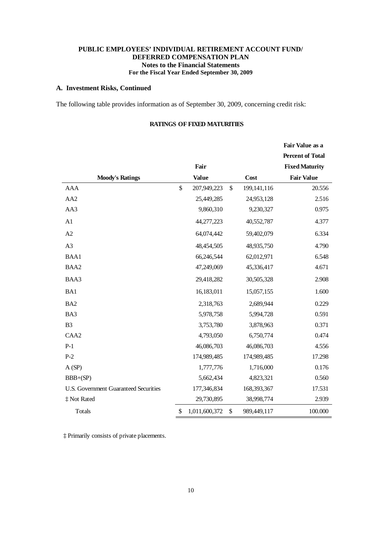# **A. Investment Risks, Continued**

 $\ddot{\phantom{a}}$ 

The following table provides information as of September 30, 2009, concerning credit risk:

|                                       |                     |                   | Fair Value as a<br><b>Percent of Total</b> |
|---------------------------------------|---------------------|-------------------|--------------------------------------------|
|                                       | Fair                |                   | <b>Fixed Maturity</b>                      |
| <b>Moody's Ratings</b>                | <b>Value</b>        | Cost              | <b>Fair Value</b>                          |
| <b>AAA</b>                            | \$<br>207,949,223   | \$<br>199,141,116 | 20.556                                     |
| AA <sub>2</sub>                       | 25,449,285          | 24,953,128        | 2.516                                      |
| AA3                                   | 9,860,310           | 9,230,327         | 0.975                                      |
| A1                                    | 44,277,223          | 40,552,787        | 4.377                                      |
| A2                                    | 64,074,442          | 59,402,079        | 6.334                                      |
| A3                                    | 48,454,505          | 48,935,750        | 4.790                                      |
| BAA1                                  | 66,246,544          | 62,012,971        | 6.548                                      |
| BAA2                                  | 47,249,069          | 45,336,417        | 4.671                                      |
| BAA3                                  | 29,418,282          | 30,505,328        | 2.908                                      |
| BA1                                   | 16,183,011          | 15,057,155        | 1.600                                      |
| BA <sub>2</sub>                       | 2,318,763           | 2,689,944         | 0.229                                      |
| BA3                                   | 5,978,758           | 5,994,728         | 0.591                                      |
| B <sub>3</sub>                        | 3,753,780           | 3,878,963         | 0.371                                      |
| CAA <sub>2</sub>                      | 4,793,050           | 6,750,774         | 0.474                                      |
| $P-1$                                 | 46,086,703          | 46,086,703        | 4.556                                      |
| $P-2$                                 | 174,989,485         | 174,989,485       | 17.298                                     |
| A(SP)                                 | 1,777,776           | 1,716,000         | 0.176                                      |
| $BBB+(SP)$                            | 5,662,434           | 4,823,321         | 0.560                                      |
| U.S. Government Guaranteed Securities | 177,346,834         | 168,393,367       | 17.531                                     |
| ‡ Not Rated                           | 29,730,895          | 38,998,774        | 2.939                                      |
| Totals                                | \$<br>1,011,600,372 | \$<br>989,449,117 | 100.000                                    |

### **RATINGS OF FIXED MATURITIES**

‡ Primarily consists of private placements.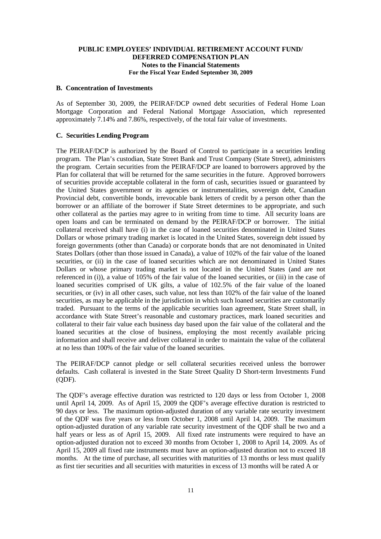#### **B. Concentration of Investments**

As of September 30, 2009, the PEIRAF/DCP owned debt securities of Federal Home Loan Mortgage Corporation and Federal National Mortgage Association, which represented approximately 7.14% and 7.86%, respectively, of the total fair value of investments.

#### **C. Securities Lending Program**

The PEIRAF/DCP is authorized by the Board of Control to participate in a securities lending program. The Plan's custodian, State Street Bank and Trust Company (State Street), administers the program. Certain securities from the PEIRAF/DCP are loaned to borrowers approved by the Plan for collateral that will be returned for the same securities in the future. Approved borrowers of securities provide acceptable collateral in the form of cash, securities issued or guaranteed by the United States government or its agencies or instrumentalities, sovereign debt, Canadian Provincial debt, convertible bonds, irrevocable bank letters of credit by a person other than the borrower or an affiliate of the borrower if State Street determines to be appropriate, and such other collateral as the parties may agree to in writing from time to time. All security loans are open loans and can be terminated on demand by the PEIRAF/DCP or borrower. The initial collateral received shall have (i) in the case of loaned securities denominated in United States Dollars or whose primary trading market is located in the United States, sovereign debt issued by foreign governments (other than Canada) or corporate bonds that are not denominated in United States Dollars (other than those issued in Canada), a value of 102% of the fair value of the loaned securities, or (ii) in the case of loaned securities which are not denominated in United States Dollars or whose primary trading market is not located in the United States (and are not referenced in (i)), a value of 105% of the fair value of the loaned securities, or (iii) in the case of loaned securities comprised of UK gilts, a value of 102.5% of the fair value of the loaned securities, or (iv) in all other cases, such value, not less than 102% of the fair value of the loaned securities, as may be applicable in the jurisdiction in which such loaned securities are customarily traded. Pursuant to the terms of the applicable securities loan agreement, State Street shall, in accordance with State Street's reasonable and customary practices, mark loaned securities and collateral to their fair value each business day based upon the fair value of the collateral and the loaned securities at the close of business, employing the most recently available pricing information and shall receive and deliver collateral in order to maintain the value of the collateral at no less than 100% of the fair value of the loaned securities.

The PEIRAF/DCP cannot pledge or sell collateral securities received unless the borrower defaults. Cash collateral is invested in the State Street Quality D Short-term Investments Fund (QDF).

The QDF's average effective duration was restricted to 120 days or less from October 1, 2008 until April 14, 2009. As of April 15, 2009 the QDF's average effective duration is restricted to 90 days or less. The maximum option-adjusted duration of any variable rate security investment of the QDF was five years or less from October 1, 2008 until April 14, 2009. The maximum option-adjusted duration of any variable rate security investment of the QDF shall be two and a half years or less as of April 15, 2009. All fixed rate instruments were required to have an option-adjusted duration not to exceed 30 months from October 1, 2008 to April 14, 2009. As of April 15, 2009 all fixed rate instruments must have an option-adjusted duration not to exceed 18 months. At the time of purchase, all securities with maturities of 13 months or less must qualify as first tier securities and all securities with maturities in excess of 13 months will be rated A or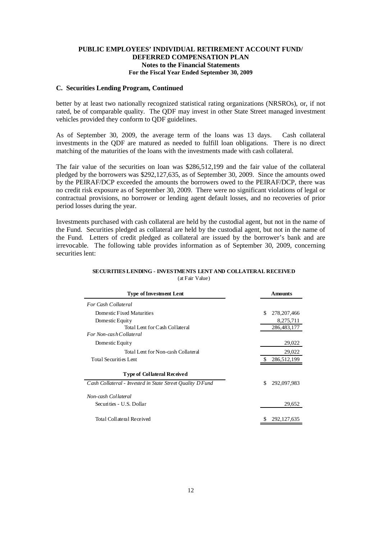### **C. Securities Lending Program, Continued**

better by at least two nationally recognized statistical rating organizations (NRSROs), or, if not rated, be of comparable quality. The QDF may invest in other State Street managed investment vehicles provided they conform to QDF guidelines.

As of September 30, 2009, the average term of the loans was 13 days. Cash collateral investments in the QDF are matured as needed to fulfill loan obligations. There is no direct matching of the maturities of the loans with the investments made with cash collateral.

The fair value of the securities on loan was \$286,512,199 and the fair value of the collateral pledged by the borrowers was \$292,127,635, as of September 30, 2009. Since the amounts owed by the PEIRAF/DCP exceeded the amounts the borrowers owed to the PEIRAF/DCP, there was no credit risk exposure as of September 30, 2009. There were no significant violations of legal or contractual provisions, no borrower or lending agent default losses, and no recoveries of prior period losses during the year.

Investments purchased with cash collateral are held by the custodial agent, but not in the name of the Fund. Securities pledged as collateral are held by the custodial agent, but not in the name of the Fund. Letters of credit pledged as collateral are issued by the borrower's bank and are irrevocable. The following table provides information as of September 30, 2009, concerning securities lent:

| <b>Type of Investment Lent</b>                            | <b>Amounts</b>      |
|-----------------------------------------------------------|---------------------|
| For Cash Collateral                                       |                     |
| Domestic Fixed Maturities                                 | \$<br>278, 207, 466 |
| Domestic Equity                                           | 8,275,711           |
| Total Lent for Cash Collateral                            | 286, 483, 177       |
| For Non-cash Collateral                                   |                     |
| Domestic Equity                                           | 29,022              |
| Total Lent for Non-cash Collateral                        | 29,022              |
| Total Securities Lent                                     | 286,512,199         |
| <b>Type of Collateral Received</b>                        |                     |
| Cash Collateral - Invested in State Street Quality D Fund | \$<br>292,097,983   |
| Non-cash Collateral                                       |                     |
| Securities - U.S. Dollar                                  | 29,652              |
| Total Collateral Received                                 | 292, 127, 635<br>S  |

#### **SECURITIES LENDING - INVESTMENTS LENT AND COLLATERAL RECEIVED** (at Fair Value)